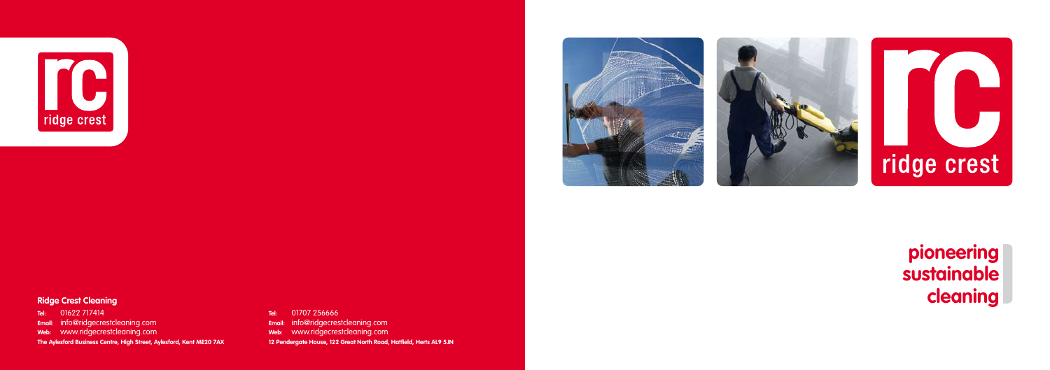



### **Ridge Crest Cleaning**

**Tel:** 01622 717414 **Email:** info@ridgecrestcleaning.com

**Web:** www.ridgecrestcleaning.com

**The Aylesford Business Centre, High Street, Aylesford, Kent ME20 7AX**

**Tel:** 01707 256666

**Email:** info@ridgecrestcleaning.com

**Web:** www.ridgecrestcleaning.com

**12 Pendergate House, 122 Great North Road, Hatfield, Herts AL9 5JN**





### **pioneering sustainable cleaning**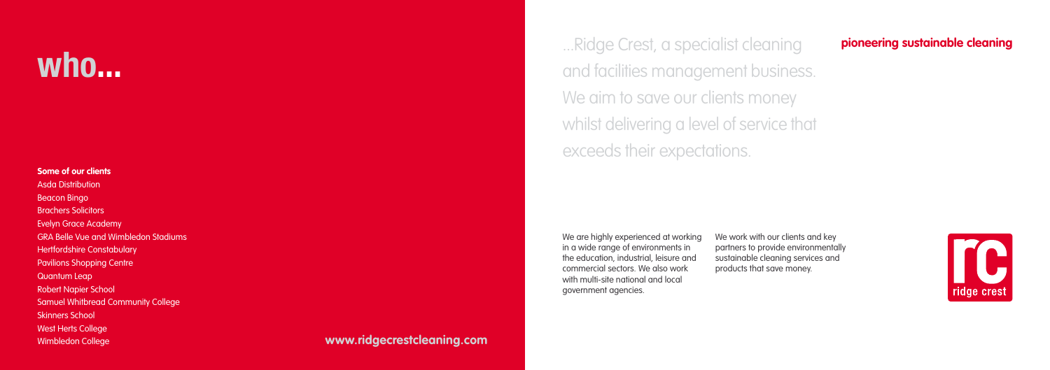...Ridge Crest, a specialist cleaning and facilities management business. We aim to save our clients money whilst delivering a level of service that exceeds their expectations.

We are highly experienced at working in a wide range of environments in the education, industrial, leisure and commercial sectors. We also work with multi-site national and local government agencies.

We work with our clients and key partners to provide environmentally sustainable cleaning services and products that save money.

### **Some of our clients**

Asda Distribution Beacon Bingo Brachers Solicitors Evelyn Grace Academy GRA Belle Vue and Wimbledon Stadiums **Hertfordshire Constabulary** Pavilions Shopping Centre Quantum Leap Robert Napier School Samuel Whitbread Community College Skinners School West Herts College

### Wimbledon College **www.ridgecrestcleaning.com**

# **pioneering sustainable cleaning**



### **who...**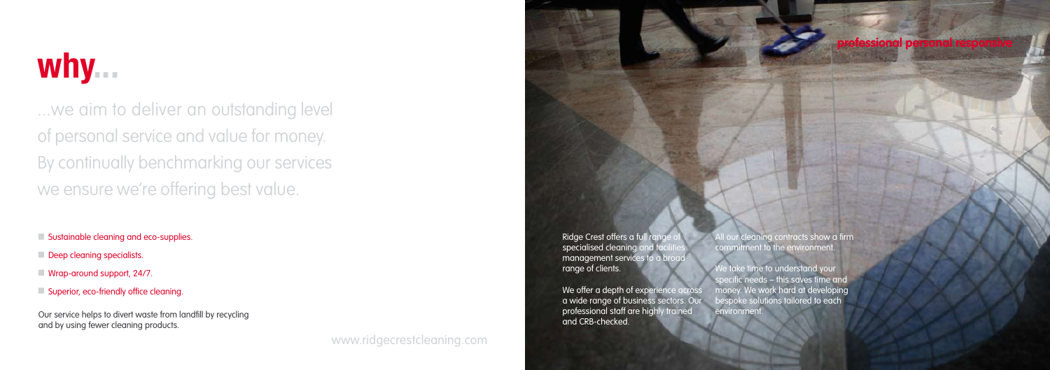### **professional personal responsive**

Ridge Crest offers a full range specialised cleaning and facilities management services to a broad range of clients.

We offer a depth of experience across a wide range of business sectors. Our professional staff are highly trained and CRB-checked.

We take time to understand your specific needs – this saves time and money. We work hard at developing bespoke solutions tailored to each environment.

All our cleaning contracts show a firm commitment to the environment.

Our service helps to divert waste from landfill by recycling and by using fewer cleaning products.

...we aim to deliver an outstanding level of personal service and value for money. By continually benchmarking our services we ensure we're offering best value.

**Sustainable cleaning and eco-supplies.** 

- Deep cleaning specialists.
- Wrap-around support, 24/7.
- Superior, eco-friendly office cleaning.

# **why...**

www.ridgecrestcleaning.com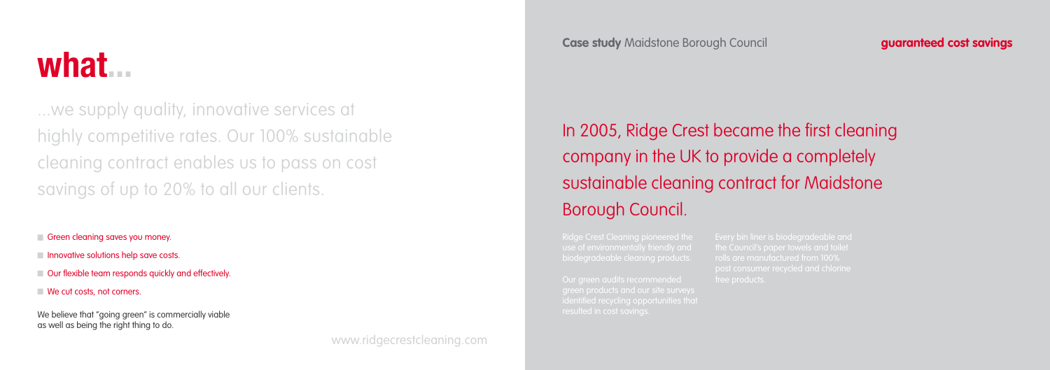rolls are manufactured from 100%



We believe that "going green" is commercially viable as well as being the right thing to do.

...we supply quality, innovative services at highly competitive rates. Our 100% sustainable cleaning contract enables us to pass on cost savings of up to 20% to all our clients.

Green cleaning saves you money.

- **Innovative solutions help save costs.**
- Our flexible team responds quickly and effectively.
- We cut costs, not corners.

In 2005, Ridge Crest became the first cleaning company in the UK to provide a completely sustainable cleaning contract for Maidstone Borough Council.

www.ridgecrestcleaning.com

**Case study** Maidstone Borough Council **guaranteed cost savings**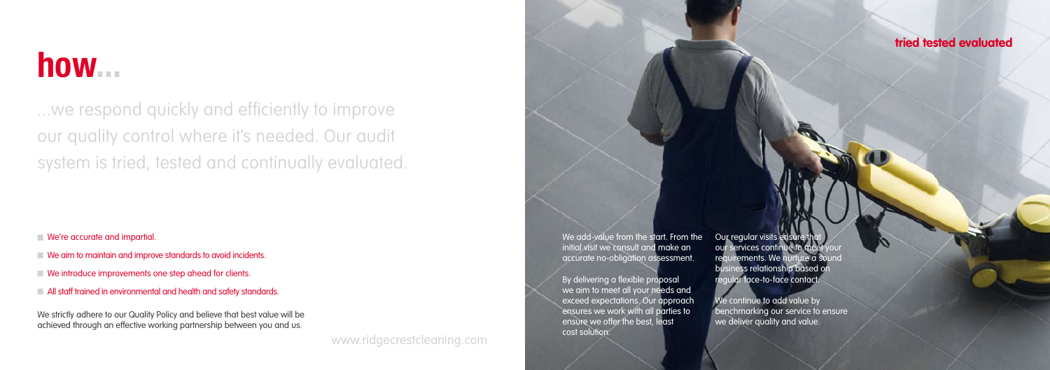We add-value from the start. From the initial visit we consult and make an accurate no-obligation assessment.

We strictly adhere to our Quality Policy and believe that best value will be achieved through an effective working partnership between you and us.

### **tried tested evaluated**

Our regular visits ensure that our services continue to meet your requirements. We nurture a sound business relationship based on regular face-to-face contact.

We continue to add value by benchmarking our service to ensure we deliver quality and value.

By delivering a flexible proposal we aim to meet all your needs and exceed expectations. Our approach ensures we work with all parties to ensure we offer the best, least cost solution.

### **how...**

...we respond quickly and efficiently to improve our quality control where it's needed. Our audit system is tried, tested and continually evaluated.

We're accurate and impartial

- We aim to maintain and improve standards to avoid incidents.
- We introduce improvements one step ahead for clients.
- All staff trained in environmental and health and safety standards.

www.ridgecrestcleaning.com